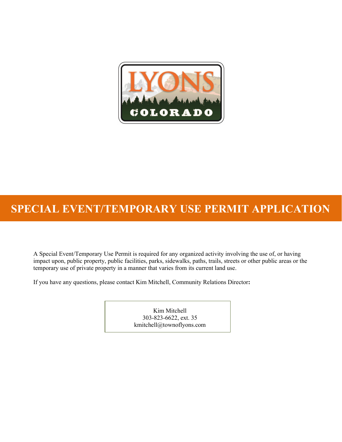

# **SPECIAL EVENT/TEMPORARY USE PERMIT APPLICATION**

A Special Event/Temporary Use Permit is required for any organized activity involving the use of, or having impact upon, public property, public facilities, parks, sidewalks, paths, trails, streets or other public areas or the temporary use of private property in a manner that varies from its current land use.

If you have any questions, please contact Kim Mitchell, Community Relations Director**:**

Kim Mitchell 303-823-6622, ext. 35 kmitchell@townoflyons.com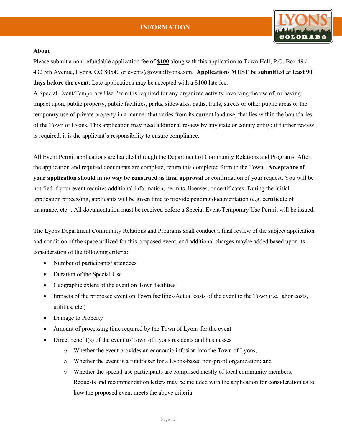

#### **About**

Please submit a non-refundable application fee of **\$100** along with this application to Town Hall, P.O. Box 49 / 432 5th Avenue, Lyons, CO 80540 or events@townoflyons.com. **Applications MUST be submitted at least 90 days before the event**. Late applications may be accepted with a \$100 late fee.

A Special Event/Temporary Use Permit is required for any organized activity involving the use of, or having impact upon, public property, public facilities, parks, sidewalks, paths, trails, streets or other public areas or the temporary use of private property in a manner that varies from its current land use, that lies within the boundaries of the Town of Lyons. This application may need additional review by any state or county entity; if further review is required, it is the applicant's responsibility to ensure compliance.

All Event Permit applications are handled through the Department of Community Relations and Programs. After the application and required documents are complete, return this completed form to the Town. **Acceptance of your application should in no way be construed as final approval** or confirmation of your request. You will be notified if your event requires additional information, permits, licenses, or certificates. During the initial application processing, applicants will be given time to provide pending documentation (e.g. certificate of insurance, etc.). All documentation must be received before a Special Event/Temporary Use Permit will be issued.

The Lyons Department Community Relations and Programs shall conduct a final review of the subject application and condition of the space utilized for this proposed event, and additional charges maybe added based upon its consideration of the following criteria:

- Number of participants/ attendees
- Duration of the Special Use
- Geographic extent of the event on Town facilities
- Impacts of the proposed event on Town facilities/Actual costs of the event to the Town (i.e. labor costs, utilities, etc.)
- Damage to Property
- Amount of processing time required by the Town of Lyons for the event
- Direct benefit(s) of the event to Town of Lyons residents and businesses
	- o Whether the event provides an economic infusion into the Town of Lyons;
	- o Whether the event is a fundraiser for a Lyons-based non-profit organization; and
	- o Whether the special-use participants are comprised mostly of local community members. Requests and recommendation letters may be included with the application for consideration as to how the proposed event meets the above criteria.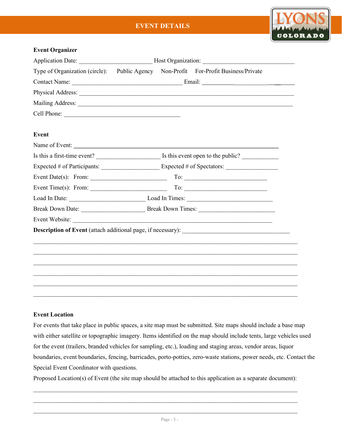# **EVENT DETAILS**



#### **Event Organizer**

|                                                                                       | Application Date: ________________________________Host Organization: _______________________________ |  |                                                                                                                                                                                                                                                                                                                                                                                                                                                      |  |
|---------------------------------------------------------------------------------------|------------------------------------------------------------------------------------------------------|--|------------------------------------------------------------------------------------------------------------------------------------------------------------------------------------------------------------------------------------------------------------------------------------------------------------------------------------------------------------------------------------------------------------------------------------------------------|--|
|                                                                                       | Type of Organization (circle): Public Agency Non-Profit For-Profit Business/Private                  |  |                                                                                                                                                                                                                                                                                                                                                                                                                                                      |  |
|                                                                                       |                                                                                                      |  |                                                                                                                                                                                                                                                                                                                                                                                                                                                      |  |
|                                                                                       |                                                                                                      |  | Physical Address:                                                                                                                                                                                                                                                                                                                                                                                                                                    |  |
|                                                                                       |                                                                                                      |  |                                                                                                                                                                                                                                                                                                                                                                                                                                                      |  |
|                                                                                       |                                                                                                      |  |                                                                                                                                                                                                                                                                                                                                                                                                                                                      |  |
|                                                                                       |                                                                                                      |  |                                                                                                                                                                                                                                                                                                                                                                                                                                                      |  |
| Event                                                                                 |                                                                                                      |  |                                                                                                                                                                                                                                                                                                                                                                                                                                                      |  |
|                                                                                       |                                                                                                      |  |                                                                                                                                                                                                                                                                                                                                                                                                                                                      |  |
|                                                                                       |                                                                                                      |  |                                                                                                                                                                                                                                                                                                                                                                                                                                                      |  |
|                                                                                       |                                                                                                      |  |                                                                                                                                                                                                                                                                                                                                                                                                                                                      |  |
| Event Date(s): From: $\frac{1}{\sqrt{1-\frac{1}{2}}}\left  \frac{f(x)}{f(x)} \right $ |                                                                                                      |  | $To: \begin{tabular}{ c c c c } \hline \multicolumn{3}{ c }{\textbf{To:}} & \multicolumn{3}{ c }{\textbf{To:}} \\ \hline \multicolumn{3}{ c }{\textbf{To:}} & \multicolumn{3}{ c }{\textbf{To:}} \\ \hline \multicolumn{3}{ c }{\textbf{To:}} & \multicolumn{3}{ c }{\textbf{To:}} \\ \hline \multicolumn{3}{ c }{\textbf{To:}} & \multicolumn{3}{ c }{\textbf{To:}} \\ \hline \multicolumn{3}{ c }{\textbf{To:}} & \multicolumn{3}{ c }{\textbf{To$ |  |
| Event Time(s): From: $\qquad \qquad$ To:                                              |                                                                                                      |  |                                                                                                                                                                                                                                                                                                                                                                                                                                                      |  |
|                                                                                       |                                                                                                      |  |                                                                                                                                                                                                                                                                                                                                                                                                                                                      |  |
|                                                                                       |                                                                                                      |  |                                                                                                                                                                                                                                                                                                                                                                                                                                                      |  |
|                                                                                       |                                                                                                      |  |                                                                                                                                                                                                                                                                                                                                                                                                                                                      |  |
|                                                                                       |                                                                                                      |  |                                                                                                                                                                                                                                                                                                                                                                                                                                                      |  |
|                                                                                       |                                                                                                      |  |                                                                                                                                                                                                                                                                                                                                                                                                                                                      |  |
|                                                                                       |                                                                                                      |  |                                                                                                                                                                                                                                                                                                                                                                                                                                                      |  |
|                                                                                       |                                                                                                      |  |                                                                                                                                                                                                                                                                                                                                                                                                                                                      |  |
|                                                                                       |                                                                                                      |  |                                                                                                                                                                                                                                                                                                                                                                                                                                                      |  |
|                                                                                       |                                                                                                      |  |                                                                                                                                                                                                                                                                                                                                                                                                                                                      |  |
|                                                                                       |                                                                                                      |  |                                                                                                                                                                                                                                                                                                                                                                                                                                                      |  |

## **Event Location**

For events that take place in public spaces, a site map must be submitted. Site maps should include a base map with either satellite or topographic imagery. Items identified on the map should include tents, large vehicles used for the event (trailers, branded vehicles for sampling, etc.), loading and staging areas, vendor areas, liquor boundaries, event boundaries, fencing, barricades, porto-potties, zero-waste stations, power needs, etc. Contact the Special Event Coordinator with questions.

Proposed Location(s) of Event (the site map should be attached to this application as a separate document):  $\_$  ,  $\_$  ,  $\_$  ,  $\_$  ,  $\_$  ,  $\_$  ,  $\_$  ,  $\_$  ,  $\_$  ,  $\_$  ,  $\_$  ,  $\_$  ,  $\_$  ,  $\_$  ,  $\_$  ,  $\_$  ,  $\_$  ,  $\_$  ,  $\_$  ,  $\_$  ,  $\_$  ,  $\_$  ,  $\_$  ,  $\_$  ,  $\_$  ,  $\_$  ,  $\_$  ,  $\_$  ,  $\_$  ,  $\_$  ,  $\_$  ,  $\_$  ,  $\_$  ,  $\_$  ,  $\_$  ,  $\_$  ,  $\_$  ,

 $\_$  ,  $\_$  ,  $\_$  ,  $\_$  ,  $\_$  ,  $\_$  ,  $\_$  ,  $\_$  ,  $\_$  ,  $\_$  ,  $\_$  ,  $\_$  ,  $\_$  ,  $\_$  ,  $\_$  ,  $\_$  ,  $\_$  ,  $\_$  ,  $\_$  ,  $\_$  ,  $\_$  ,  $\_$  ,  $\_$  ,  $\_$  ,  $\_$  ,  $\_$  ,  $\_$  ,  $\_$  ,  $\_$  ,  $\_$  ,  $\_$  ,  $\_$  ,  $\_$  ,  $\_$  ,  $\_$  ,  $\_$  ,  $\_$  ,  $\mathcal{L}_\text{max}$  , and the contract of the contract of the contract of the contract of the contract of the contract of the contract of the contract of the contract of the contract of the contract of the contract of the contr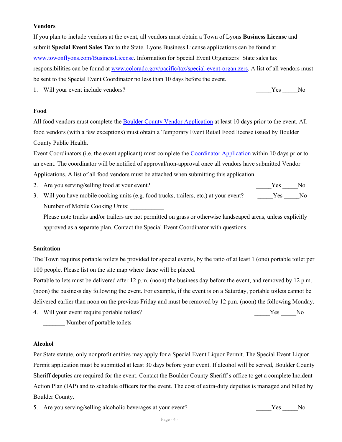#### **Vendors**

If you plan to include vendors at the event, all vendors must obtain a Town of Lyons **Business License** and submit **Special Event Sales Tax** to the State. Lyons Business License applications can be found at [www.towonflyons.com/BusinessLicense.](http://www.towonflyons.com/BusinessLicense) Information for Special Event Organizers' State sales tax responsibilities can be found at [www.colorado.gov/pacific/tax/special-event-organizers.](http://www.colorado.gov/pacific/tax/special-event-organizers) A list of all vendors must be sent to the Special Event Coordinator no less than 10 days before the event.

1. Will your event include vendors? The Ves and Ves and Ves and Ves and Ves and Ves and Ves and Ves and Ves and Ves and Ves and Ves and Ves and Ves and Ves and Ves and Ves and Ves and Ves and Ves and Ves and Ves and Ves an

#### **Food**

All food vendors must complete the [Boulder County Vendor Application](https://www.bouldercounty.org/records/licenses/food-safety-and-temporary-events/) at least 10 days prior to the event. All food vendors (with a few exceptions) must obtain a Temporary Event Retail Food license issued by Boulder County Public Health.

Event Coordinators (i.e. the event applicant) must complete the [Coordinator Application](https://www.bouldercounty.org/records/licenses/food-safety-and-temporary-events/) within 10 days prior to an event. The coordinator will be notified of approval/non-approval once all vendors have submitted Vendor Applications. A list of all food vendors must be attached when submitting this application.

2. Are you serving/selling food at your event? The same service of the service of the service of the service of the service of the service of the service of the service of the service of the service of the service of the s

3. Will you have mobile cooking units (e.g. food trucks, trailers, etc.) at your event? Yes No Number of Mobile Cooking Units:

Please note trucks and/or trailers are not permitted on grass or otherwise landscaped areas, unless explicitly approved as a separate plan. Contact the Special Event Coordinator with questions.

#### **Sanitation**

The Town requires portable toilets be provided for special events, by the ratio of at least 1 (one) portable toilet per 100 people. Please list on the site map where these will be placed.

Portable toilets must be delivered after 12 p.m. (noon) the business day before the event, and removed by 12 p.m. (noon) the business day following the event. For example, if the event is on a Saturday, portable toilets cannot be delivered earlier than noon on the previous Friday and must be removed by 12 p.m. (noon) the following Monday.

4. Will your event require portable toilets? No was not all the set of the SN of the SN of the SN o

Number of portable toilets

#### **Alcohol**

Per State statute, only nonprofit entities may apply for a Special Event Liquor Permit. The Special Event Liquor Permit application must be submitted at least 30 days before your event. If alcohol will be served, Boulder County Sheriff deputies are required for the event. Contact the Boulder County Sheriff's office to get a complete Incident Action Plan (IAP) and to schedule officers for the event. The cost of extra-duty deputies is managed and billed by Boulder County.

5. Are you serving/selling alcoholic beverages at your event? The Yes No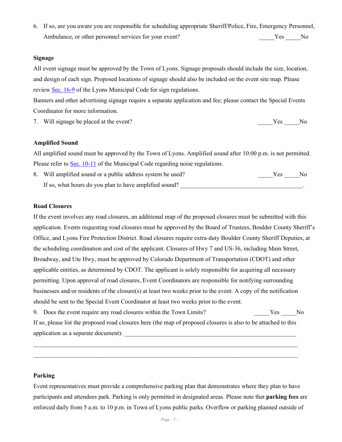6. If so, are you aware you are responsible for scheduling appropriate Sheriff/Police, Fire, Emergency Personnel, Ambulance, or other personnel services for your event? The Ves The Ves No

#### **Signage**

All event signage must be approved by the Town of Lyons. Signage proposals should include the size, location, and design of each sign. Proposed locations of signage should also be included on the event site map. Please review [Sec. 16-9](https://library.municode.com/co/lyons/codes/municipal_code?nodeId=CH16ZO_ART9SIRE) of the Lyons Municipal Code for sign regulations.

Banners and other advertising signage require a separate application and fee; please contact the Special Events Coordinator for more information.

7. Will signage be placed at the event? \_\_\_\_\_Yes \_\_\_\_\_No

#### **Amplified Sound**

All amplified sound must be approved by the Town of Lyons. Amplified sound after 10:00 p.m. is not permitted. Please refer to [Sec. 10-11](https://library.municode.com/co/lyons/codes/municipal_code?nodeId=CH10GEOF_ART11NO) of the Municipal Code regarding noise regulations.

8. Will amplified sound or a public address system be used? \_\_\_\_\_\_\_\_\_\_\_\_\_\_\_\_\_\_\_\_\_Yes \_\_\_\_\_\_No If so, what hours do you plan to have amplified sound?

#### **Road Closures**

If the event involves any road closures, an additional map of the proposed closures must be submitted with this application. Events requesting road closures must be approved by the Board of Trustees, Boulder County Sheriff's Office, and Lyons Fire Protection District. Road closures require extra-duty Boulder County Sheriff Deputies, at the scheduling coordination and cost of the applicant. Closures of Hwy 7 and US-36, including Main Street, Broadway, and Ute Hwy, must be approved by Colorado Department of Transportation (CDOT) and other applicable entities, as determined by CDOT. The applicant is solely responsible for acquiring all necessary permitting. Upon approval of road closures, Event Coordinators are responsible for notifying surrounding businesses and/or residents of the closure(s) at least two weeks prior to the event. A copy of the notification should be sent to the Special Event Coordinator at least two weeks prior to the event.

9. Does the event require any road closures within the Town Limits? The Ves No

If so, please list the proposed road closures here (the map of proposed closures is also to be attached to this application as a separate document):

 $\_$  , and the set of the set of the set of the set of the set of the set of the set of the set of the set of the set of the set of the set of the set of the set of the set of the set of the set of the set of the set of th  $\_$  , and the set of the set of the set of the set of the set of the set of the set of the set of the set of the set of the set of the set of the set of the set of the set of the set of the set of the set of the set of th

#### **Parking**

Event representatives must provide a comprehensive parking plan that demonstrates where they plan to have participants and attendees park. Parking is only permitted in designated areas. Please note that **parking fees** are enforced daily from 5 a.m. to 10 p.m. in Town of Lyons public parks. Overflow or parking planned outside of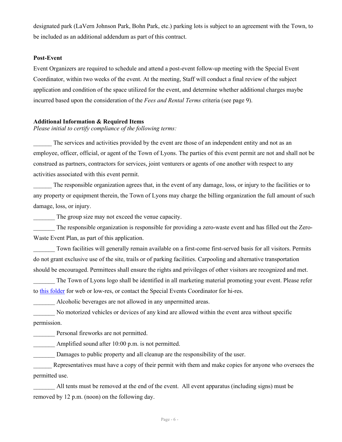designated park (LaVern Johnson Park, Bohn Park, etc.) parking lots is subject to an agreement with the Town, to be included as an additional addendum as part of this contract.

#### **Post-Event**

Event Organizers are required to schedule and attend a post-event follow-up meeting with the Special Event Coordinator, within two weeks of the event. At the meeting, Staff will conduct a final review of the subject application and condition of the space utilized for the event, and determine whether additional charges maybe incurred based upon the consideration of the *Fees and Rental Terms* criteria (see page 9).

#### **Additional Information & Required Items**

*Please initial to certify compliance of the following terms:*

The services and activities provided by the event are those of an independent entity and not as an employee, officer, official, or agent of the Town of Lyons. The parties of this event permit are not and shall not be construed as partners, contractors for services, joint venturers or agents of one another with respect to any activities associated with this event permit.

The responsible organization agrees that, in the event of any damage, loss, or injury to the facilities or to any property or equipment therein, the Town of Lyons may charge the billing organization the full amount of such damage, loss, or injury.

The group size may not exceed the venue capacity.

The responsible organization is responsible for providing a zero-waste event and has filled out the Zero-Waste Event Plan, as part of this application.

Town facilities will generally remain available on a first-come first-served basis for all visitors. Permits do not grant exclusive use of the site, trails or of parking facilities. Carpooling and alternative transportation should be encouraged. Permittees shall ensure the rights and privileges of other visitors are recognized and met.

The Town of Lyons logo shall be identified in all marketing material promoting your event. Please refer to [this folder](https://townoflyonsco-my.sharepoint.com/:f:/g/personal/ahodgson_townoflyons_com/EugK8r3_OnxNsWjOYhmeDYIBhAe255xKs_vJK95kLbsVVg?e=RjKJAV) for web or low-res, or contact the Special Events Coordinator for hi-res.

Alcoholic beverages are not allowed in any unpermitted areas.

No motorized vehicles or devices of any kind are allowed within the event area without specific permission.

Personal fireworks are not permitted.

Amplified sound after 10:00 p.m. is not permitted.

Damages to public property and all cleanup are the responsibility of the user.

Representatives must have a copy of their permit with them and make copies for anyone who oversees the permitted use.

All tents must be removed at the end of the event. All event apparatus (including signs) must be removed by 12 p.m. (noon) on the following day.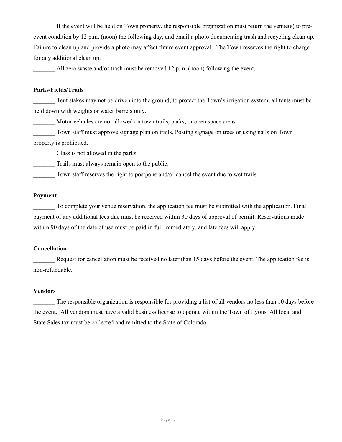If the event will be held on Town property, the responsible organization must return the venue(s) to preevent condition by 12 p.m. (noon) the following day, and email a photo documenting trash and recycling clean up. Failure to clean up and provide a photo may affect future event approval. The Town reserves the right to charge for any additional clean up.

All zero waste and/or trash must be removed 12 p.m. (noon) following the event.

#### **Parks/Fields/Trails**

Tent stakes may not be driven into the ground; to protect the Town's irrigation system, all tents must be held down with weights or water barrels only.

Motor vehicles are not allowed on town trails, parks, or open space areas.

Town staff must approve signage plan on trails. Posting signage on trees or using nails on Town property is prohibited.

Glass is not allowed in the parks.

Trails must always remain open to the public.

Town staff reserves the right to postpone and/or cancel the event due to wet trails.

#### **Payment**

To complete your venue reservation, the application fee must be submitted with the application. Final payment of any additional fees due must be received within 30 days of approval of permit. Reservations made within 90 days of the date of use must be paid in full immediately, and late fees will apply.

#### **Cancellation**

Request for cancellation must be received no later than 15 days before the event. The application fee is non-refundable.

#### **Vendors**

The responsible organization is responsible for providing a list of all vendors no less than 10 days before the event. All vendors must have a valid business license to operate within the Town of Lyons. All local and State Sales tax must be collected and remitted to the State of Colorado.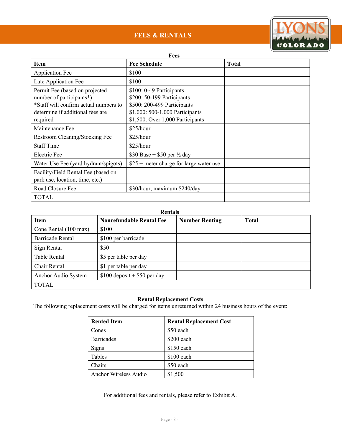# **FEES & RENTALS**



#### **Fees**

| <b>Item</b>                                                                                                                             | <b>Fee Schedule</b>                                                                                                      | <b>Total</b> |
|-----------------------------------------------------------------------------------------------------------------------------------------|--------------------------------------------------------------------------------------------------------------------------|--------------|
| <b>Application Fee</b>                                                                                                                  | \$100                                                                                                                    |              |
| Late Application Fee                                                                                                                    | \$100                                                                                                                    |              |
| Permit Fee (based on projected<br>number of participants*)<br>*Staff will confirm actual numbers to<br>determine if additional fees are | \$100: 0-49 Participants<br>\$200: 50-199 Participants<br>\$500: 200-499 Participants<br>\$1,000: 500-1,000 Participants |              |
| required                                                                                                                                | \$1,500: Over 1,000 Participants                                                                                         |              |
| Maintenance Fee                                                                                                                         | \$25/hour                                                                                                                |              |
| Restroom Cleaning/Stocking Fee                                                                                                          | \$25/hour                                                                                                                |              |
| <b>Staff Time</b>                                                                                                                       | \$25/hour                                                                                                                |              |
| Electric Fee                                                                                                                            | \$30 Base + \$50 per $\frac{1}{2}$ day                                                                                   |              |
| Water Use Fee (yard hydrant/spigots)                                                                                                    | $$25 + meter charge for large water use$                                                                                 |              |
| Facility/Field Rental Fee (based on<br>park use, location, time, etc.)                                                                  |                                                                                                                          |              |
| Road Closure Fee                                                                                                                        | \$30/hour, maximum \$240/day                                                                                             |              |
| <b>TOTAL</b>                                                                                                                            |                                                                                                                          |              |

#### **Rentals**

| <b>Item</b>           | <b>Nonrefundable Rental Fee</b> | <b>Number Renting</b> | <b>Total</b> |  |
|-----------------------|---------------------------------|-----------------------|--------------|--|
| Cone Rental (100 max) | \$100                           |                       |              |  |
| Barricade Rental      | \$100 per barricade             |                       |              |  |
| Sign Rental           | \$50                            |                       |              |  |
| Table Rental          | \$5 per table per day           |                       |              |  |
| Chair Rental          | \$1 per table per day           |                       |              |  |
| Anchor Audio System   | $$100$ deposit + \$50 per day   |                       |              |  |
| <b>TOTAL</b>          |                                 |                       |              |  |

#### **Rental Replacement Costs**

The following replacement costs will be charged for items unreturned within 24 business hours of the event:

| <b>Rented Item</b>    | <b>Rental Replacement Cost</b> |
|-----------------------|--------------------------------|
| Cones                 | \$50 each                      |
| <b>Barricades</b>     | $$200$ each                    |
| Signs                 | $$150$ each                    |
| Tables                | $$100$ each                    |
| Chairs                | \$50 each                      |
| Anchor Wireless Audio | \$1,500                        |

For additional fees and rentals, please refer to Exhibit A.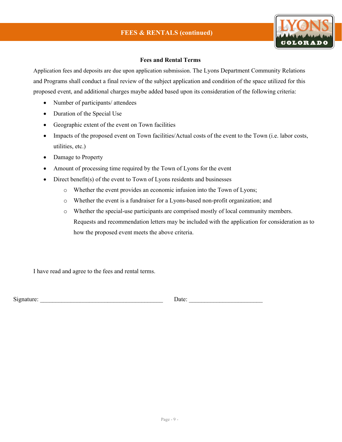

#### **Fees and Rental Terms**

Application fees and deposits are due upon application submission. The Lyons Department Community Relations and Programs shall conduct a final review of the subject application and condition of the space utilized for this proposed event, and additional charges maybe added based upon its consideration of the following criteria:

- Number of participants/ attendees
- Duration of the Special Use
- Geographic extent of the event on Town facilities
- Impacts of the proposed event on Town facilities/Actual costs of the event to the Town (i.e. labor costs, utilities, etc.)
- Damage to Property
- Amount of processing time required by the Town of Lyons for the event
- Direct benefit(s) of the event to Town of Lyons residents and businesses
	- o Whether the event provides an economic infusion into the Town of Lyons;
	- o Whether the event is a fundraiser for a Lyons-based non-profit organization; and
	- o Whether the special-use participants are comprised mostly of local community members. Requests and recommendation letters may be included with the application for consideration as to how the proposed event meets the above criteria.

I have read and agree to the fees and rental terms.

Signature: \_\_\_\_\_\_\_\_\_\_\_\_\_\_\_\_\_\_\_\_\_\_\_\_\_\_\_\_\_\_\_\_\_\_\_\_\_\_\_\_ Date: \_\_\_\_\_\_\_\_\_\_\_\_\_\_\_\_\_\_\_\_\_\_\_\_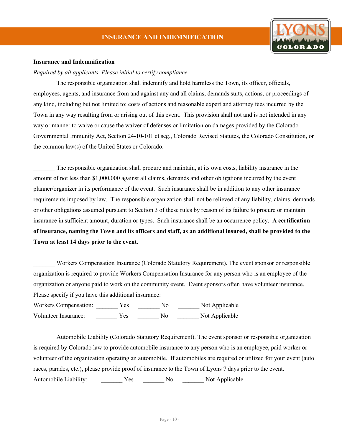

#### **Insurance and Indemnification**

*Required by all applicants. Please initial to certify compliance.*

The responsible organization shall indemnify and hold harmless the Town, its officer, officials, employees, agents, and insurance from and against any and all claims, demands suits, actions, or proceedings of any kind, including but not limited to: costs of actions and reasonable expert and attorney fees incurred by the Town in any way resulting from or arising out of this event. This provision shall not and is not intended in any way or manner to waive or cause the waiver of defenses or limitation on damages provided by the Colorado Governmental Immunity Act, Section 24-10-101 et seg., Colorado Revised Statutes, the Colorado Constitution, or the common law(s) of the United States or Colorado.

\_\_\_\_\_\_\_ The responsible organization shall procure and maintain, at its own costs, liability insurance in the amount of not less than \$1,000,000 against all claims, demands and other obligations incurred by the event planner/organizer in its performance of the event. Such insurance shall be in addition to any other insurance requirements imposed by law. The responsible organization shall not be relieved of any liability, claims, demands or other obligations assumed pursuant to Section 3 of these rules by reason of its failure to procure or maintain insurance in sufficient amount, duration or types. Such insurance shall be an occurrence policy. **A certification of insurance, naming the Town and its officers and staff, as an additional insured, shall be provided to the Town at least 14 days prior to the event.**

Workers Compensation Insurance (Colorado Statutory Requirement). The event sponsor or responsible organization is required to provide Workers Compensation Insurance for any person who is an employee of the organization or anyone paid to work on the community event. Event sponsors often have volunteer insurance. Please specify if you have this additional insurance:

Workers Compensation: <br> Wes \_\_\_\_\_\_ No \_\_\_\_\_\_ Not Applicable Volunteer Insurance:  $Yes$  No  $\sim$  Not Applicable

\_\_\_\_\_\_\_ Automobile Liability (Colorado Statutory Requirement). The event sponsor or responsible organization is required by Colorado law to provide automobile insurance to any person who is an employee, paid worker or volunteer of the organization operating an automobile. If automobiles are required or utilized for your event (auto races, parades, etc.), please provide proof of insurance to the Town of Lyons 7 days prior to the event. Automobile Liability:  $\begin{array}{ccc} \text{Yes} & \text{No} & \text{Not Applicable} \end{array}$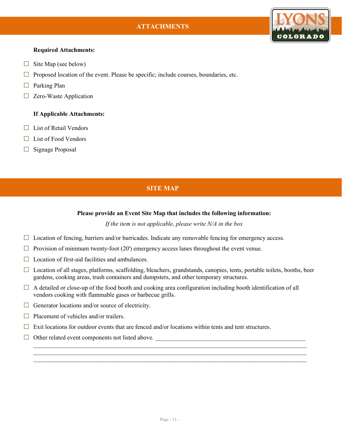# **ATTACHMENTS**



#### **Required Attachments:**

- $\Box$  Site Map (see below)
- $\Box$  Proposed location of the event. Please be specific; include courses, boundaries, etc.
- $\Box$  Parking Plan
- □ Zero-Waste Application

#### **If Applicable Attachments:**

- $\Box$  List of Retail Vendors
- $\Box$  List of Food Vendors
- □ Signage Proposal

## **SITE MAP**

#### **Please provide an Event Site Map that includes the following information:**

*If the item is not applicable, please write N/A in the box*

- $\Box$  Location of fencing, barriers and/or barricades. Indicate any removable fencing for emergency access.
- $\Box$  Provision of minimum twenty-foot (20') emergency access lanes throughout the event venue.
- $\Box$  Location of first-aid facilities and ambulances.
- □ Location of all stages, platforms, scaffolding, bleachers, grandstands, canopies, tents, portable toilets, booths, beer gardens, cooking areas, trash containers and dumpsters, and other temporary structures.

 $\_$  , and the set of the set of the set of the set of the set of the set of the set of the set of the set of the set of the set of the set of the set of the set of the set of the set of the set of the set of the set of th  $\_$ \_\_\_\_\_\_\_\_\_\_\_\_\_\_\_\_\_\_\_\_\_\_\_\_\_\_\_\_\_\_\_\_\_\_\_\_\_\_\_\_\_\_\_\_\_\_\_\_\_\_\_\_\_\_\_\_\_\_\_\_\_\_\_\_\_\_\_\_\_\_\_\_\_\_\_\_\_\_\_\_\_\_\_\_\_\_\_\_\_

- $\Box$  A detailed or close-up of the food booth and cooking area configuration including booth identification of all vendors cooking with flammable gases or barbecue grills.
- $\Box$  Generator locations and/or source of electricity.
- $\Box$  Placement of vehicles and/or trailers.
- $\Box$  Exit locations for outdoor events that are fenced and/or locations within tents and tent structures.
- $\Box$  Other related event components not listed above.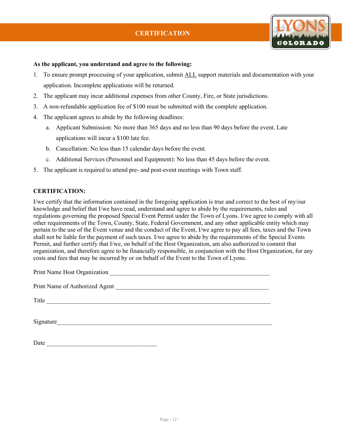

#### **As the applicant, you understand and agree to the following:**

- 1. To ensure prompt processing of your application, submit ALL support materials and documentation with your application. Incomplete applications will be returned.
- 2. The applicant may incur additional expenses from other County, Fire, or State jurisdictions.
- 3. A non-refundable application fee of \$100 must be submitted with the complete application.
- 4. The applicant agrees to abide by the following deadlines:
	- a. Applicant Submission: No more than 365 days and no less than 90 days before the event. Late applications will incur a \$100 late fee.
	- b. Cancellation: No less than 15 calendar days before the event.
	- c. Additional Services (Personnel and Equipment): No less than 45 days before the event.
- 5. The applicant is required to attend pre- and post-event meetings with Town staff.

#### **CERTIFICATION:**

I/we certify that the information contained in the foregoing application is true and correct to the best of my/our knowledge and belief that I/we have read, understand and agree to abide by the requirements, rules and regulations governing the proposed Special Event Permit under the Town of Lyons. I/we agree to comply with all other requirements of the Town, County, State, Federal Government, and any other applicable entity which may pertain to the use of the Event venue and the conduct of the Event, I/we agree to pay all fees, taxes and the Town shall not be liable for the payment of such taxes. I/we agree to abide by the requirements of the Special Events Permit, and further certify that I/we, on behalf of the Host Organization, am also authorized to commit that organization, and therefore agree to be financially responsible, in conjunction with the Host Organization, for any costs and fees that may be incurred by or on behalf of the Event to the Town of Lyons.

| Print Name Host Organization<br><u> 1989 - Johann Stein, fransk politiker (d. 1989)</u> |
|-----------------------------------------------------------------------------------------|
| Print Name of Authorized Agent                                                          |
| Title                                                                                   |
| Signature                                                                               |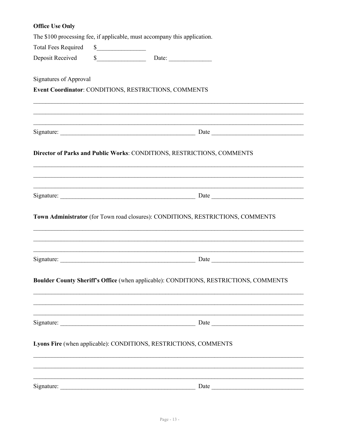# **Office Use Only** The \$100 processing fee, if applicable, must accompany this application. **Total Fees Required**  $\sim$ \$ Date: Deposit Received **Signatures of Approval Event Coordinator: CONDITIONS, RESTRICTIONS, COMMENTS** Signature: Date Director of Parks and Public Works: CONDITIONS, RESTRICTIONS, COMMENTS Town Administrator (for Town road closures): CONDITIONS, RESTRICTIONS, COMMENTS Boulder County Sheriff's Office (when applicable): CONDITIONS, RESTRICTIONS, COMMENTS Signature: Date Date Date Date Date Lyons Fire (when applicable): CONDITIONS, RESTRICTIONS, COMMENTS Signature: Date Date